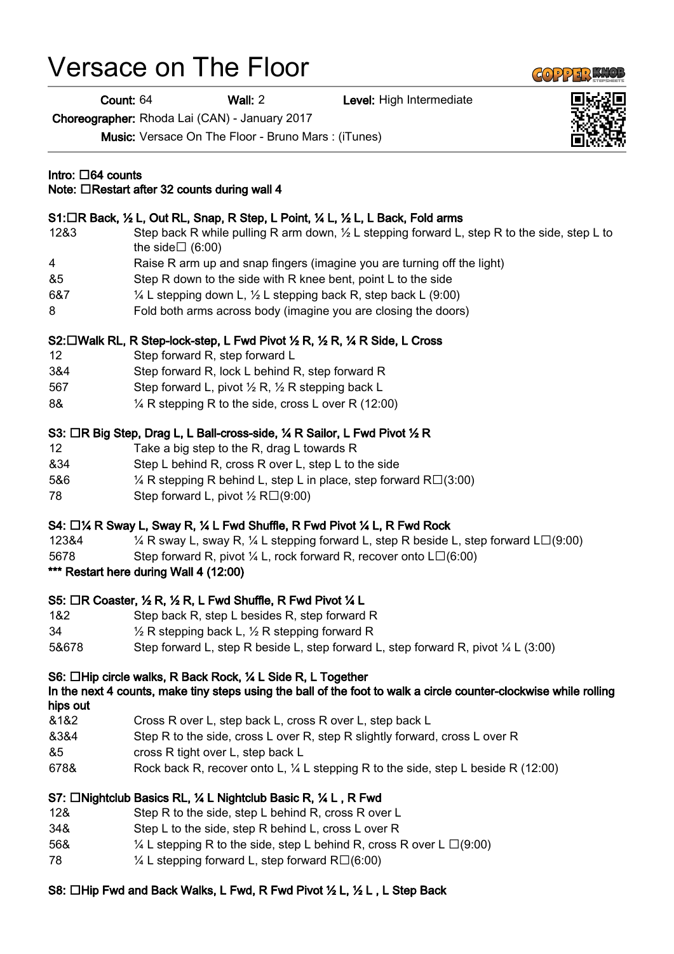# Versace on The Floor

Count: 64 Wall: 2 Level: High Intermediate

Choreographer: Rhoda Lai (CAN) - January 2017

Music: Versace On The Floor - Bruno Mars : (iTunes)

#### Intro:  $\Box$ 64 counts

# Note:  $\Box$ Restart after 32 counts during wall 4

#### S1: $\Box$ R Back, ½ L, Out RL, Snap, R Step, L Point, ¼ L, ½ L, L Back, Fold arms

- 12&3 Step back R while pulling R arm down, ½ L stepping forward L, step R to the side, step L to the side $\Box$  (6:00)
- 4 Raise R arm up and snap fingers (imagine you are turning off the light)
- &5 Step R down to the side with R knee bent, point L to the side
- 6&7  $\frac{1}{4}$  L stepping down L,  $\frac{1}{2}$  L stepping back R, step back L (9:00)
- 8 Fold both arms across body (imagine you are closing the doors)

#### S2: □ Walk RL, R Step-lock-step, L Fwd Pivot ½ R, ½ R, ¼ R Side, L Cross

- 12 Step forward R, step forward L
- 3&4 Step forward R, lock L behind R, step forward R
- 567 Step forward L, pivot 1/2 R, 1/2 R stepping back L
- 8& ¼ R stepping R to the side, cross L over R (12:00)

#### S3: □R Big Step, Drag L, L Ball-cross-side, ¼ R Sailor, L Fwd Pivot ½ R

- 12 Take a big step to the R, drag L towards R
- &34 Step L behind R, cross R over L, step L to the side
- 5&6  $\frac{1}{4}$  R stepping R behind L, step L in place, step forward R $\Box$ (3:00)
- 78 Step forward L, pivot  $\frac{1}{2}$  R $\Box$ (9:00)

# S4:  $\Box$  /4 R Sway L, Sway R,  $\frac{1}{4}$  L Fwd Shuffle, R Fwd Pivot  $\frac{1}{4}$  L, R Fwd Rock

- 123&4  $\frac{1}{4}$  R sway L, sway R,  $\frac{1}{4}$  L stepping forward L, step R beside L, step forward L $\Box$ (9:00)
- 5678 Step forward R, pivot  $\frac{1}{4}$  L, rock forward R, recover onto  $L\square(6:00)$
- \*\*\* Restart here during Wall 4 (12:00)

# S5:  $\Box$ R Coaster, 1/2 R, 1/2 R, L Fwd Shuffle, R Fwd Pivot 1/4 L

- 1&2 Step back R, step L besides R, step forward R
- 34  $\frac{1}{2}$  R stepping back L,  $\frac{1}{2}$  R stepping forward R
- 5&678 Step forward L, step R beside L, step forward L, step forward R, pivot ¼ L (3:00)

# S6: □Hip circle walks, R Back Rock, ¼ L Side R, L Together

# In the next 4 counts, make tiny steps using the ball of the foot to walk a circle counter-clockwise while rolling hips out

- &1&2 Cross R over L, step back L, cross R over L, step back L
- &3&4 Step R to the side, cross L over R, step R slightly forward, cross L over R
- &5 cross R tight over L, step back L
- 678& Rock back R, recover onto L, ¼ L stepping R to the side, step L beside R (12:00)

# S7: □Nightclub Basics RL, ¼ L Nightclub Basic R, ¼ L, R Fwd

- 12& Step R to the side, step L behind R, cross R over L
- 34& Step L to the side, step R behind L, cross L over R
- 56&  $\frac{1}{4}$  L stepping R to the side, step L behind R, cross R over L  $\Box$ (9:00)
- 78  $\frac{1}{4}$  L stepping forward L, step forward R $\Box$ (6:00)

# S8: □Hip Fwd and Back Walks, L Fwd, R Fwd Pivot ½ L, ½ L, L Step Back